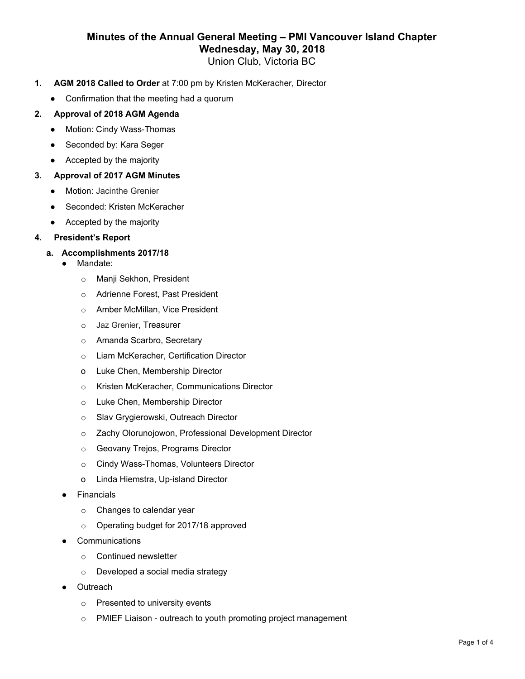## **Minutes of the Annual General Meeting – PMI Vancouver Island Chapter Wednesday, May 30, 2018**

Union Club, Victoria BC

- **1. AGM 2018 Called to Order** at 7:00 pm by Kristen McKeracher, Director
	- Confirmation that the meeting had a quorum

## **2. Approval of 2018 AGM Agenda**

- Motion: Cindy Wass-Thomas
- Seconded by: Kara Seger
- Accepted by the majority

## **3. Approval of 2017 AGM Minutes**

- Motion: Jacinthe Grenier
- Seconded: Kristen McKeracher
- Accepted by the majority

#### **4. President's Report**

## **a. Accomplishments 2017/18**

- Mandate:
	- o Manji Sekhon, President
	- o Adrienne Forest, Past President
	- o Amber McMillan, Vice President
	- o Jaz Grenier, Treasurer
	- o Amanda Scarbro, Secretary
	- o Liam McKeracher, Certification Director
	- o Luke Chen, Membership Director
	- o Kristen McKeracher, Communications Director
	- o Luke Chen, Membership Director
	- o Slav Grygierowski, Outreach Director
	- o Zachy Olorunojowon, Professional Development Director
	- o Geovany Trejos, Programs Director
	- o Cindy Wass-Thomas, Volunteers Director
	- o Linda Hiemstra, Up-island Director
- **Financials** 
	- o Changes to calendar year
	- o Operating budget for 2017/18 approved
- **Communications** 
	- o Continued newsletter
	- o Developed a social media strategy
- Outreach
	- o Presented to university events
	- o PMIEF Liaison outreach to youth promoting project management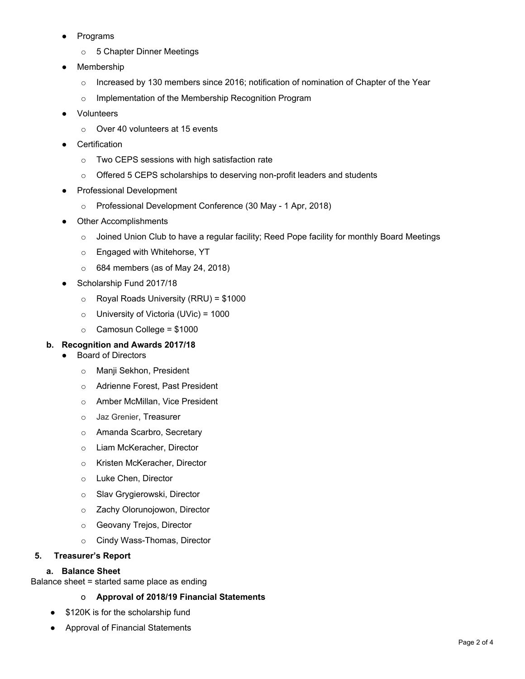- **Programs** 
	- o 5 Chapter Dinner Meetings
- Membership
	- $\circ$  Increased by 130 members since 2016; notification of nomination of Chapter of the Year
	- o Implementation of the Membership Recognition Program
- **Volunteers** 
	- o Over 40 volunteers at 15 events
- Certification
	- o Two CEPS sessions with high satisfaction rate
	- o Offered 5 CEPS scholarships to deserving non-profit leaders and students
- **Professional Development** 
	- o Professional Development Conference (30 May 1 Apr, 2018)
- **Other Accomplishments** 
	- $\circ$  Joined Union Club to have a regular facility; Reed Pope facility for monthly Board Meetings
	- o Engaged with Whitehorse, YT
	- $\circ$  684 members (as of May 24, 2018)
- Scholarship Fund 2017/18
	- $\circ$  Royal Roads University (RRU) = \$1000
	- $\circ$  University of Victoria (UVic) = 1000
	- $\circ$  Camosun College = \$1000

#### **b. Recognition and Awards 2017/18**

- **Board of Directors** 
	- o Manji Sekhon, President
	- o Adrienne Forest, Past President
	- o Amber McMillan, Vice President
	- o Jaz Grenier, Treasurer
	- o Amanda Scarbro, Secretary
	- o Liam McKeracher, Director
	- o Kristen McKeracher, Director
	- o Luke Chen, Director
	- o Slav Grygierowski, Director
	- o Zachy Olorunojowon, Director
	- o Geovany Trejos, Director
	- o Cindy Wass-Thomas, Director

#### **5. Treasurer's Report**

#### **a. Balance Sheet**

Balance sheet = started same place as ending

#### o **Approval of 2018/19 Financial Statements**

- \$120K is for the scholarship fund
- Approval of Financial Statements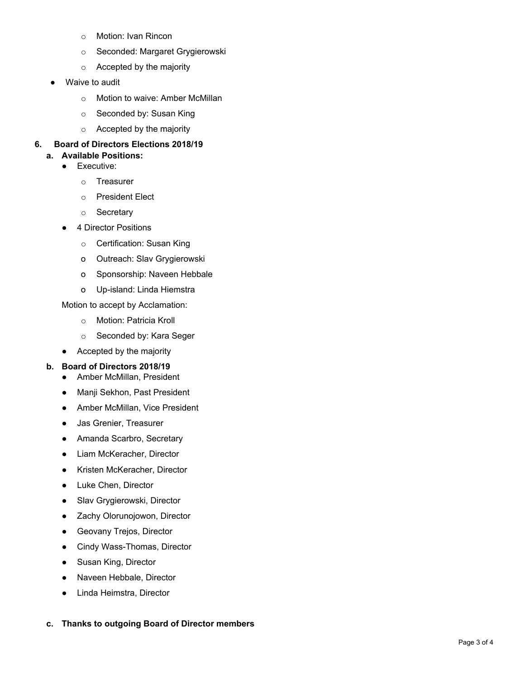- o Motion: Ivan Rincon
- o Seconded: Margaret Grygierowski
- o Accepted by the majority
- Waive to audit
	- o Motion to waive: Amber McMillan
	- o Seconded by: Susan King
	- o Accepted by the majority

## **6. Board of Directors Elections 2018/19**

- **a. Available Positions:**
	- Executive:
		- o Treasurer
		- o President Elect
		- o Secretary
	- 4 Director Positions
		- o Certification: Susan King
		- o Outreach: Slav Grygierowski
		- o Sponsorship: Naveen Hebbale
		- o Up-island: Linda Hiemstra

Motion to accept by Acclamation:

- o Motion: Patricia Kroll
- o Seconded by: Kara Seger
- Accepted by the majority

## **b. Board of Directors 2018/19**

- **●** Amber McMillan, President
- **●** Manji Sekhon, Past President
- **●** Amber McMillan, Vice President
- **●** Jas Grenier, Treasurer
- **●** Amanda Scarbro, Secretary
- **●** Liam McKeracher, Director
- **●** Kristen McKeracher, Director
- **●** Luke Chen, Director
- **●** Slav Grygierowski, Director
- **●** Zachy Olorunojowon, Director
- **●** Geovany Trejos, Director
- **●** Cindy Wass-Thomas, Director
- **●** Susan King, Director
- **●** Naveen Hebbale, Director
- **●** Linda Heimstra, Director

#### **c. Thanks to outgoing Board of Director members**